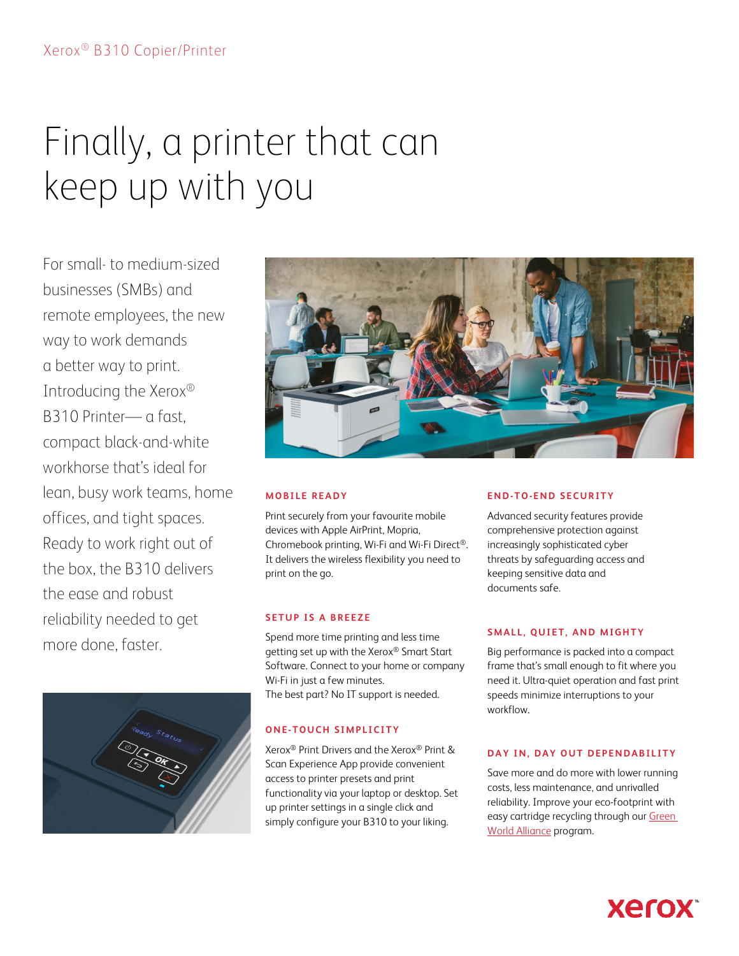# Finally, a printer that can keep up with you

For small- to medium-sized businesses (SMBs) and remote employees, the new way to work demands a better way to print. Introducing the Xerox® B310 Printer— a fast, compact black-and-white workhorse that's ideal for lean, busy work teams, home offices, and tight spaces. Ready to work right out of the box, the B310 delivers the ease and robust reliability needed to get more done, faster.





# **MOBILE READY**

Print securely from your favourite mobile devices with Apple AirPrint, Mopria, Chromebook printing, Wi-Fi and Wi-Fi Direct®. It delivers the wireless flexibility you need to print on the go.

## **SETUP IS A BREEZE**

Spend more time printing and less time getting set up with the Xerox® Smart Start Software. Connect to your home or company Wi-Fi in just a few minutes. The best part? No IT support is needed.

# **ONE-TOUCH SIMPLICITY**

Xerox® Print Drivers and the Xerox® Print & Scan Experience App provide convenient access to printer presets and print functionality via your laptop or desktop. Set up printer settings in a single click and simply configure your B310 to your liking.

## **END-T O-END SECURITY**

Advanced security features provide comprehensive protection against increasingly sophisticated cyber threats by safeguarding access and keeping sensitive data and documents safe.

## **SMALL, QUIET, AND MIGHTY**

Big performance is packed into a compact frame that's small enough to fit where you need it. Ultra-quiet operation and fast print speeds minimize interruptions to your workflow.

### **DAY IN, DAY OUT DEPENDABILITY**

Save more and do more with lower running costs, less maintenance, and unrivalled reliability. Improve your eco-footprint with easy cartridge recycling through our Green [World Alliance](https://www.xerox.ca/about-xerox/recycling/enca.html) program.

**Xerox**